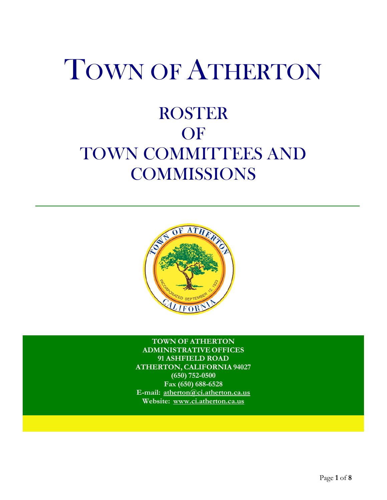# TOWN OF ATHERTON

## ROSTER **OF** TOWN COMMITTEES AND **COMMISSIONS**



**TOWN OF ATHERTON ADMINISTRATIVE OFFICES 91 ASHFIELD ROAD ATHERTON, CALIFORNIA 94027 (650) 752-0500 Fax (650) 688-6528 E-mail: atherton@ci.atherton.ca.us Website: www.ci.atherton.ca.us**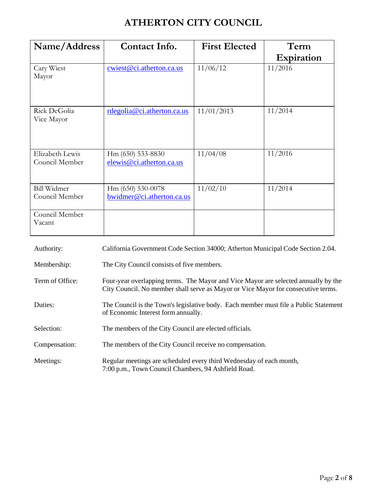## **ATHERTON CITY COUNCIL**

| Name/Address                         | Contact Info.                                  | <b>First Elected</b> | Term              |
|--------------------------------------|------------------------------------------------|----------------------|-------------------|
|                                      |                                                |                      | <b>Expiration</b> |
| Cary Wiest<br>Mayor                  | cwiest@ci.atherton.ca.us                       | 11/06/12             | 11/2016           |
| Rick DeGolia<br>Vice Mayor           | rdegolia@ci.atherton.ca.us                     | 11/01/2013           | 11/2014           |
| Elizabeth Lewis<br>Council Member    | Hm (650) 533-8830<br>elewis@ci.atherton.ca.us  | 11/04/08             | 11/2016           |
| <b>Bill Widmer</b><br>Council Member | Hm (650) 530-0078<br>bwidmer@ci.atherton.ca.us | 11/02/10             | 11/2014           |
| Council Member<br>Vacant             |                                                |                      |                   |

| Authority:      | California Government Code Section 34000; Atherton Municipal Code Section 2.04.                                                                                         |
|-----------------|-------------------------------------------------------------------------------------------------------------------------------------------------------------------------|
| Membership:     | The City Council consists of five members.                                                                                                                              |
| Term of Office: | Four-year overlapping terms. The Mayor and Vice Mayor are selected annually by the<br>City Council. No member shall serve as Mayor or Vice Mayor for consecutive terms. |
| Duties:         | The Council is the Town's legislative body. Each member must file a Public Statement<br>of Economic Interest form annually.                                             |
| Selection:      | The members of the City Council are elected officials.                                                                                                                  |
| Compensation:   | The members of the City Council receive no compensation.                                                                                                                |
| Meetings:       | Regular meetings are scheduled every third Wednesday of each month,<br>7:00 p.m., Town Council Chambers, 94 Ashfield Road.                                              |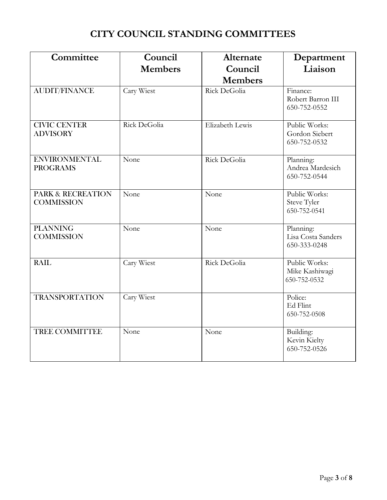## **CITY COUNCIL STANDING COMMITTEES**

| Committee                                         | Council<br><b>Members</b> | Alternate<br>Council<br><b>Members</b> | Department<br>Liaison                           |
|---------------------------------------------------|---------------------------|----------------------------------------|-------------------------------------------------|
| <b>AUDIT/FINANCE</b>                              | Cary Wiest                | Rick DeGolia                           | Finance:<br>Robert Barron III<br>650-752-0552   |
| <b>CIVIC CENTER</b><br><b>ADVISORY</b>            | Rick DeGolia              | Elizabeth Lewis                        | Public Works:<br>Gordon Siebert<br>650-752-0532 |
| <b>ENVIRONMENTAL</b><br><b>PROGRAMS</b>           | None                      | Rick DeGolia                           | Planning:<br>Andrea Mardesich<br>650-752-0544   |
| <b>PARK &amp; RECREATION</b><br><b>COMMISSION</b> | None                      | None                                   | Public Works:<br>Steve Tyler<br>650-752-0541    |
| <b>PLANNING</b><br><b>COMMISSION</b>              | None                      | None                                   | Planning:<br>Lisa Costa Sanders<br>650-333-0248 |
| <b>RAIL</b>                                       | Cary Wiest                | Rick DeGolia                           | Public Works:<br>Mike Kashiwagi<br>650-752-0532 |
| <b>TRANSPORTATION</b>                             | Cary Wiest                |                                        | Police:<br>Ed Flint<br>650-752-0508             |
| <b>TREE COMMITTEE</b>                             | None                      | None                                   | Building:<br>Kevin Kielty<br>650-752-0526       |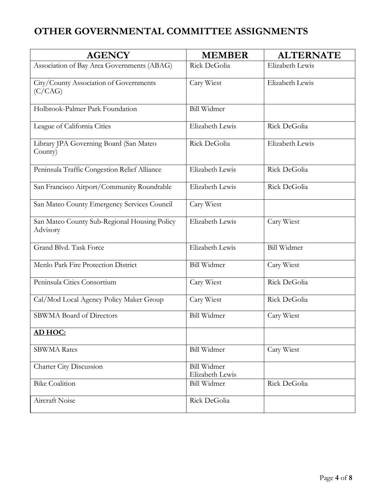## **OTHER GOVERNMENTAL COMMITTEE ASSIGNMENTS**

| <b>AGENCY</b>                                            | <b>MEMBER</b>                         | <b>ALTERNATE</b>   |
|----------------------------------------------------------|---------------------------------------|--------------------|
| Association of Bay Area Governments (ABAG)               | Rick DeGolia                          | Elizabeth Lewis    |
| City/County Association of Governments<br>(C/CAG)        | Cary Wiest                            | Elizabeth Lewis    |
| Holbrook-Palmer Park Foundation                          | <b>Bill Widmer</b>                    |                    |
| League of California Cities                              | Elizabeth Lewis                       | Rick DeGolia       |
| Library JPA Governing Board (San Mateo<br>County)        | Rick DeGolia                          | Elizabeth Lewis    |
| Peninsula Traffic Congestion Relief Alliance             | Elizabeth Lewis                       | Rick DeGolia       |
| San Francisco Airport/Community Roundtable               | Elizabeth Lewis                       | Rick DeGolia       |
| San Mateo County Emergency Services Council              | Cary Wiest                            |                    |
| San Mateo County Sub-Regional Housing Policy<br>Advisory | Elizabeth Lewis                       | Cary Wiest         |
| Grand Blvd. Task Force                                   | Elizabeth Lewis                       | <b>Bill Widmer</b> |
| Menlo Park Fire Protection District                      | <b>Bill Widmer</b>                    | Cary Wiest         |
| Peninsula Cities Consortium                              | Cary Wiest                            | Rick DeGolia       |
| Cal/Mod Local Agency Policy Maker Group                  | Cary Wiest                            | Rick DeGolia       |
| <b>SBWMA</b> Board of Directors                          | <b>Bill Widmer</b>                    | Cary Wiest         |
| AD HOC:                                                  |                                       |                    |
| <b>SBWMA</b> Rates                                       | <b>Bill Widmer</b>                    | Cary Wiest         |
| Charter City Discussion                                  | <b>Bill Widmer</b><br>Elizabeth Lewis |                    |
| <b>Bike Coalition</b>                                    | <b>Bill Widmer</b>                    | Rick DeGolia       |
| Aircraft Noise                                           | Rick DeGolia                          |                    |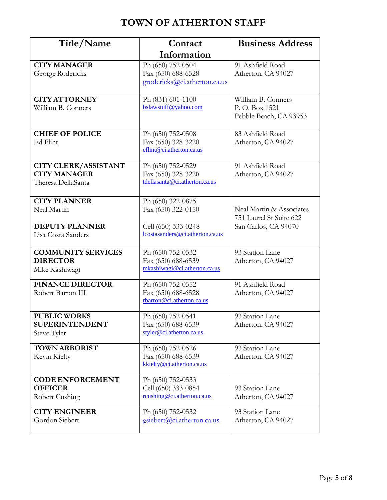## **TOWN OF ATHERTON STAFF**

| Title/Name                                                                        | Contact                                                                                           | <b>Business Address</b>                                                     |  |
|-----------------------------------------------------------------------------------|---------------------------------------------------------------------------------------------------|-----------------------------------------------------------------------------|--|
|                                                                                   | Information                                                                                       |                                                                             |  |
| <b>CITY MANAGER</b><br>George Rodericks                                           | Ph (650) 752-0504<br>Fax (650) 688-6528<br>grodericks@ci.atherton.ca.us                           | 91 Ashfield Road<br>Atherton, CA 94027                                      |  |
| <b>CITY ATTORNEY</b><br>William B. Conners                                        | Ph (831) 601-1100<br>bslawstuff@yahoo.com                                                         | William B. Conners<br>P.O. Box 1521<br>Pebble Beach, CA 93953               |  |
| <b>CHIEF OF POLICE</b><br>Ed Flint                                                | Ph (650) 752-0508<br>Fax (650) 328-3220<br>eflint@ci.atherton.ca.us                               | 83 Ashfield Road<br>Atherton, CA 94027                                      |  |
| <b>CITY CLERK/ASSISTANT</b><br><b>CITY MANAGER</b><br>Theresa DellaSanta          | Ph (650) 752-0529<br>Fax (650) 328-3220<br>tdellasanta@ci.atherton.ca.us                          | 91 Ashfield Road<br>Atherton, CA 94027                                      |  |
| <b>CITY PLANNER</b><br>Neal Martin<br><b>DEPUTY PLANNER</b><br>Lisa Costa Sanders | Ph (650) 322-0875<br>Fax (650) 322-0150<br>Cell (650) 333-0248<br>lcostasanders@ci.atherton.ca.us | Neal Martin & Associates<br>751 Laurel St Suite 622<br>San Carlos, CA 94070 |  |
| <b>COMMUNITY SERVICES</b><br><b>DIRECTOR</b><br>Mike Kashiwagi                    | Ph (650) 752-0532<br>Fax (650) 688-6539<br>mkashiwagi@ci.atherton.ca.us                           | 93 Station Lane<br>Atherton, CA 94027                                       |  |
| <b>FINANCE DIRECTOR</b><br>Robert Barron III                                      | Ph (650) 752-0552<br>Fax (650) 688-6528<br>rbarron@ci.atherton.ca.us                              | 91 Ashfield Road<br>Atherton, CA 94027                                      |  |
| <b>PUBLIC WORKS</b><br><b>SUPERINTENDENT</b><br>Steve Tyler                       | Ph (650) 752-0541<br>Fax (650) 688-6539<br>styler@ci.atherton.ca.us                               | 93 Station Lane<br>Atherton, CA 94027                                       |  |
| <b>TOWN ARBORIST</b><br>Kevin Kielty                                              | Ph (650) 752-0526<br>Fax (650) 688-6539<br>kkielty@ci.atherton.ca.us                              | 93 Station Lane<br>Atherton, CA 94027                                       |  |
| <b>CODE ENFORCEMENT</b><br><b>OFFICER</b><br>Robert Cushing                       | Ph (650) 752-0533<br>Cell (650) 333-0854<br>rcushing@ci.atherton.ca.us                            | 93 Station Lane<br>Atherton, CA 94027                                       |  |
| <b>CITY ENGINEER</b><br>Gordon Siebert                                            | 93 Station Lane<br>Ph (650) 752-0532<br>gsiebert@ci.atherton.ca.us<br>Atherton, CA 94027          |                                                                             |  |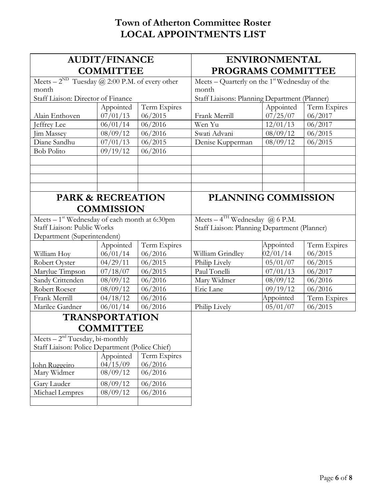## **Town of Atherton Committee Roster LOCAL APPOINTMENTS LIST**

| <b>AUDIT/FINANCE</b>                                           |                       | <b>ENVIRONMENTAL</b>                            |                                              |           |              |
|----------------------------------------------------------------|-----------------------|-------------------------------------------------|----------------------------------------------|-----------|--------------|
| <b>COMMITTEE</b>                                               |                       | PROGRAMS COMMITTEE                              |                                              |           |              |
| Meets – $2^{ND}$ Tuesday ( <i>a</i> ) 2:00 P.M. of every other |                       | Meets – Quarterly on the $1st$ Wednesday of the |                                              |           |              |
| month                                                          |                       | month                                           |                                              |           |              |
| Staff Liaison: Director of Finance                             |                       | Staff Liaisons: Planning Department (Planner)   |                                              |           |              |
|                                                                | Appointed             | Term Expires                                    |                                              | Appointed | Term Expires |
| Alain Enthoven                                                 | 07/01/13              | 06/2015                                         | Frank Merrill                                | 07/25/07  | 06/2017      |
| Jeffrey Lee                                                    | 06/01/14              | 06/2016                                         | Wen Yu                                       | 12/01/13  | 06/2017      |
| Jim Massey                                                     | 08/09/12              | 06/2016                                         | Swati Advani                                 | 08/09/12  | 06/2015      |
| Diane Sandhu                                                   | 07/01/13              | 06/2015                                         | Denise Kupperman                             | 08/09/12  | 06/2015      |
| <b>Bob Polito</b>                                              | 09/19/12              | 06/2016                                         |                                              |           |              |
|                                                                |                       |                                                 |                                              |           |              |
|                                                                |                       |                                                 |                                              |           |              |
|                                                                |                       |                                                 |                                              |           |              |
|                                                                |                       |                                                 |                                              |           |              |
| <b>PARK &amp; RECREATION</b>                                   |                       | <b>PLANNING COMMISSION</b>                      |                                              |           |              |
|                                                                | <b>COMMISSION</b>     |                                                 |                                              |           |              |
| Meets $-1$ <sup>st</sup> Wednesday of each month at 6:30pm     |                       |                                                 | Meets $-4$ <sup>TH</sup> Wednesday @ 6 P.M.  |           |              |
| Staff Liaison: Public Works                                    |                       |                                                 | Staff Liaison: Planning Department (Planner) |           |              |
| Department (Superintendent)                                    |                       |                                                 |                                              |           |              |
|                                                                | Appointed             | Term Expires                                    |                                              | Appointed | Term Expires |
| William Hoy                                                    | 06/01/14              | 06/2016                                         | William Grindley                             | 02/01/14  | 06/2015      |
| Robert Oyster                                                  | 04/29/11              | 06/2015                                         | Philip Lively                                | 05/01/07  | 06/2015      |
| Marylue Timpson                                                | 07/18/07              | 06/2015                                         | Paul Tonelli                                 | 07/01/13  | 06/2017      |
| Sandy Crittenden                                               | 08/09/12              | 06/2016                                         | Mary Widmer                                  | 08/09/12  | 06/2016      |
| Robert Roeser                                                  | 08/09/12              | 06/2016                                         | Eric Lane                                    | 09/19/12  | 06/2016      |
| Frank Merrill                                                  | 04/18/12              | 06/2016                                         |                                              | Appointed | Term Expires |
| Marilee Gardner                                                | 06/01/14              | 06/2016                                         | Philip Lively                                | 05/01/07  | 06/2015      |
|                                                                | <b>TRANSPORTATION</b> |                                                 |                                              |           |              |
| <b>COMMITTEE</b>                                               |                       |                                                 |                                              |           |              |
| Meets $-2nd$ Tuesday, bi-monthly                               |                       |                                                 |                                              |           |              |
| Staff Liaison: Police Department (Police Chief)                |                       |                                                 |                                              |           |              |
|                                                                | Appointed             | Term Expires                                    |                                              |           |              |
| John Ruggeiro                                                  | 04/15/09              | 06/2016                                         |                                              |           |              |
| Mary Widmer                                                    | 08/09/12              | 06/2016                                         |                                              |           |              |
| Gary Lauder                                                    | 08/09/12              | 06/2016                                         |                                              |           |              |
| Michael Lempres                                                | 08/09/12              | 06/2016                                         |                                              |           |              |
|                                                                |                       |                                                 |                                              |           |              |
|                                                                |                       |                                                 |                                              |           |              |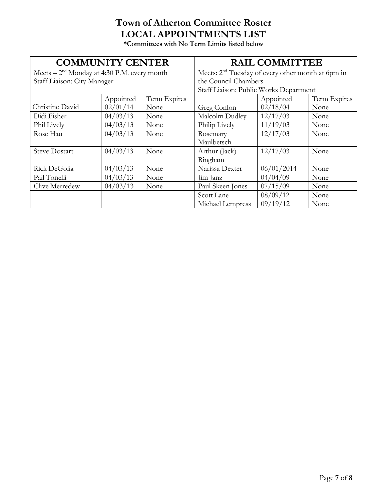#### **Town of Atherton Committee Roster LOCAL APPOINTMENTS LIST \*Committees with No Term Limits listed below**

| <b>COMMUNITY CENTER</b>                      |           | <b>RAIL COMMITTEE</b>                  |                                                     |            |              |
|----------------------------------------------|-----------|----------------------------------------|-----------------------------------------------------|------------|--------------|
| Meets $-2nd$ Monday at 4:30 P.M. every month |           |                                        | Meets: $2nd$ Tuesday of every other month at 6pm in |            |              |
| Staff Liaison: City Manager                  |           |                                        | the Council Chambers                                |            |              |
|                                              |           | Staff Liaison: Public Works Department |                                                     |            |              |
|                                              | Appointed | Term Expires                           |                                                     | Appointed  | Term Expires |
| Christine David                              | 02/01/14  | None                                   | Greg Conlon                                         | 02/18/04   | None         |
| Didi Fisher                                  | 04/03/13  | None                                   | Malcolm Dudley                                      | 12/17/03   | None         |
| Phil Lively                                  | 04/03/13  | None                                   | Philip Lively                                       | 11/19/03   | None         |
| Rose Hau                                     | 04/03/13  | None                                   | Rosemary                                            | 12/17/03   | None         |
|                                              |           |                                        | Maulbetsch                                          |            |              |
| <b>Steve Dostart</b>                         | 04/03/13  | None                                   | Arthur (Jack)                                       | 12/17/03   | None         |
|                                              |           |                                        | Ringham                                             |            |              |
| Rick DeGolia                                 | 04/03/13  | None                                   | Narissa Dexter                                      | 06/01/2014 | None         |
| Pail Tonelli                                 | 04/03/13  | None                                   | Jim Janz                                            | 04/04/09   | None         |
| Clive Merredew                               | 04/03/13  | None                                   | Paul Skeen Jones                                    | 07/15/09   | None         |
|                                              |           |                                        | Scott Lane                                          | 08/09/12   | None         |
|                                              |           |                                        | Michael Lempress                                    | 09/19/12   | None         |